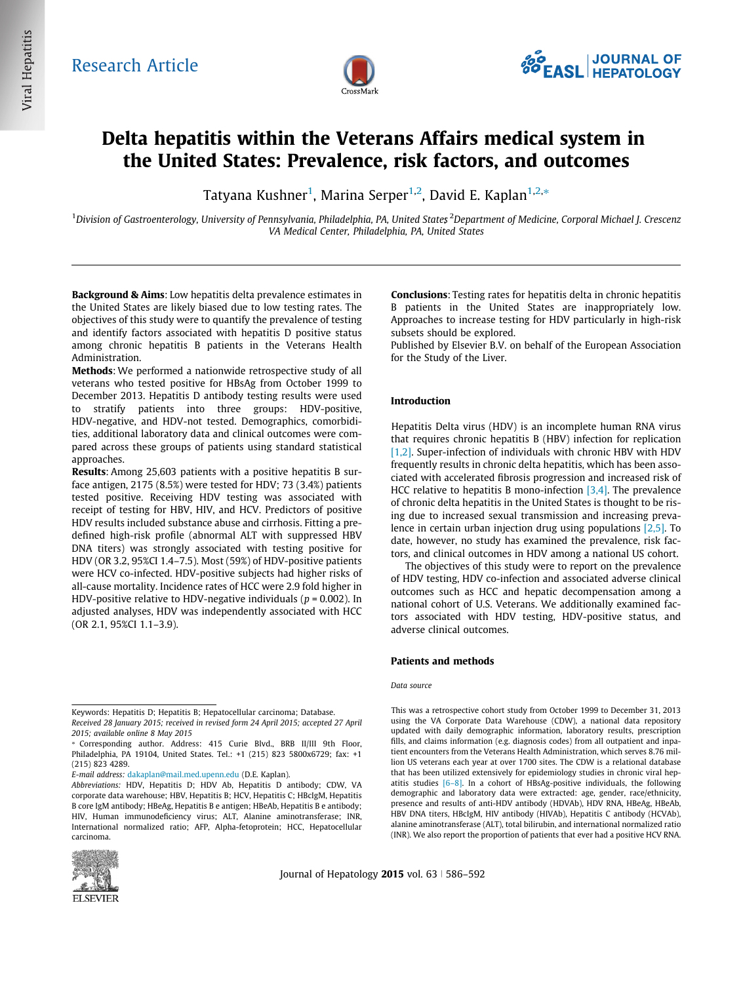

# Delta hepatitis within the Veterans Affairs medical system in the United States: Prevalence, risk factors, and outcomes

Tatyana Kushner<sup>1</sup>, Marina Serper<sup>1,2</sup>, David E. Kaplan<sup>1,2,</sup>\*

<sup>1</sup>Division of Gastroenterology, University of Pennsylvania, Philadelphia, PA, United States<sup>2</sup>Department of Medicine, Corporal Michael J. Crescenz VA Medical Center, Philadelphia, PA, United States

Background & Aims: Low hepatitis delta prevalence estimates in the United States are likely biased due to low testing rates. The objectives of this study were to quantify the prevalence of testing and identify factors associated with hepatitis D positive status among chronic hepatitis B patients in the Veterans Health Administration.

Methods: We performed a nationwide retrospective study of all veterans who tested positive for HBsAg from October 1999 to December 2013. Hepatitis D antibody testing results were used to stratify patients into three groups: HDV-positive, HDV-negative, and HDV-not tested. Demographics, comorbidities, additional laboratory data and clinical outcomes were compared across these groups of patients using standard statistical approaches.

Results: Among 25,603 patients with a positive hepatitis B surface antigen, 2175 (8.5%) were tested for HDV; 73 (3.4%) patients tested positive. Receiving HDV testing was associated with receipt of testing for HBV, HIV, and HCV. Predictors of positive HDV results included substance abuse and cirrhosis. Fitting a predefined high-risk profile (abnormal ALT with suppressed HBV DNA titers) was strongly associated with testing positive for HDV (OR 3.2, 95%CI 1.4–7.5). Most (59%) of HDV-positive patients were HCV co-infected. HDV-positive subjects had higher risks of all-cause mortality. Incidence rates of HCC were 2.9 fold higher in HDV-positive relative to HDV-negative individuals ( $p = 0.002$ ). In adjusted analyses, HDV was independently associated with HCC (OR 2.1, 95%CI 1.1–3.9).

E-mail address: [dakaplan@mail.med.upenn.edu](mailto:dakaplan@mail.med.upenn.edu) (D.E. Kaplan).

Abbreviations: HDV, Hepatitis D; HDV Ab, Hepatitis D antibody; CDW, VA corporate data warehouse; HBV, Hepatitis B; HCV, Hepatitis C; HBcIgM, Hepatitis B core IgM antibody; HBeAg, Hepatitis B e antigen; HBeAb, Hepatitis B e antibody; HIV, Human immunodeficiency virus; ALT, Alanine aminotransferase; INR, International normalized ratio; AFP, Alpha-fetoprotein; HCC, Hepatocellular carcinoma.



Journal of Hepatology 2015 vol.  $63 \mid 586-592$ 

Conclusions: Testing rates for hepatitis delta in chronic hepatitis B patients in the United States are inappropriately low. Approaches to increase testing for HDV particularly in high-risk subsets should be explored.

Published by Elsevier B.V. on behalf of the European Association for the Study of the Liver.

## Introduction

Hepatitis Delta virus (HDV) is an incomplete human RNA virus that requires chronic hepatitis B (HBV) infection for replication [\[1,2\]](#page-5-0). Super-infection of individuals with chronic HBV with HDV frequently results in chronic delta hepatitis, which has been associated with accelerated fibrosis progression and increased risk of HCC relative to hepatitis B mono-infection  $[3,4]$ . The prevalence of chronic delta hepatitis in the United States is thought to be rising due to increased sexual transmission and increasing prevalence in certain urban injection drug using populations [\[2,5\].](#page-5-0) To date, however, no study has examined the prevalence, risk factors, and clinical outcomes in HDV among a national US cohort.

The objectives of this study were to report on the prevalence of HDV testing, HDV co-infection and associated adverse clinical outcomes such as HCC and hepatic decompensation among a national cohort of U.S. Veterans. We additionally examined factors associated with HDV testing, HDV-positive status, and adverse clinical outcomes.

### Patients and methods

#### Data source

This was a retrospective cohort study from October 1999 to December 31, 2013 using the VA Corporate Data Warehouse (CDW), a national data repository updated with daily demographic information, laboratory results, prescription fills, and claims information (e.g. diagnosis codes) from all outpatient and inpatient encounters from the Veterans Health Administration, which serves 8.76 million US veterans each year at over 1700 sites. The CDW is a relational database that has been utilized extensively for epidemiology studies in chronic viral hepatitis studies [\[6–8\].](#page-5-0) In a cohort of HBsAg-positive individuals, the following demographic and laboratory data were extracted: age, gender, race/ethnicity, presence and results of anti-HDV antibody (HDVAb), HDV RNA, HBeAg, HBeAb, HBV DNA titers, HBcIgM, HIV antibody (HIVAb), Hepatitis C antibody (HCVAb), alanine aminotransferase (ALT), total bilirubin, and international normalized ratio (INR). We also report the proportion of patients that ever had a positive HCV RNA.

Keywords: Hepatitis D; Hepatitis B; Hepatocellular carcinoma; Database.

Received 28 January 2015; received in revised form 24 April 2015; accepted 27 April 2015; available online 8 May 2015

<sup>⇑</sup> Corresponding author. Address: 415 Curie Blvd., BRB II/III 9th Floor, Philadelphia, PA 19104, United States. Tel.: +1 (215) 823 5800x6729; fax: +1 (215) 823 4289.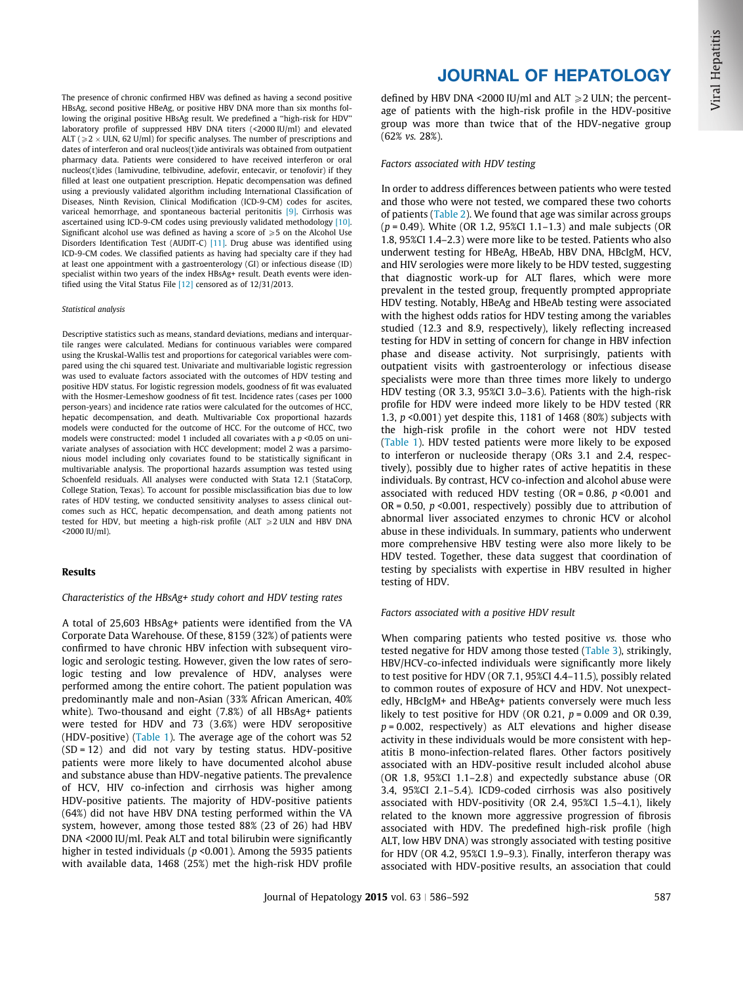The presence of chronic confirmed HBV was defined as having a second positive HBsAg, second positive HBeAg, or positive HBV DNA more than six months following the original positive HBsAg result. We predefined a ''high-risk for HDV'' laboratory profile of suppressed HBV DNA titers (<2000 IU/ml) and elevated ALT ( $\geqslant$  2  $\times$  ULN, 62 U/ml) for specific analyses. The number of prescriptions and dates of interferon and oral nucleos(t)ide antivirals was obtained from outpatient pharmacy data. Patients were considered to have received interferon or oral nucleos(t)ides (lamivudine, telbivudine, adefovir, entecavir, or tenofovir) if they filled at least one outpatient prescription. Hepatic decompensation was defined using a previously validated algorithm including International Classification of Diseases, Ninth Revision, Clinical Modification (ICD-9-CM) codes for ascites, variceal hemorrhage, and spontaneous bacterial peritonitis [\[9\]](#page-5-0). Cirrhosis was ascertained using ICD-9-CM codes using previously validated methodology [\[10\].](#page-5-0) Significant alcohol use was defined as having a score of  $\geq 5$  on the Alcohol Use Disorders Identification Test (AUDIT-C) [\[11\]](#page-5-0). Drug abuse was identified using ICD-9-CM codes. We classified patients as having had specialty care if they had at least one appointment with a gastroenterology (GI) or infectious disease (ID) specialist within two years of the index HBsAg+ result. Death events were identified using the Vital Status File [\[12\]](#page-5-0) censored as of 12/31/2013.

#### Statistical analysis

Descriptive statistics such as means, standard deviations, medians and interquartile ranges were calculated. Medians for continuous variables were compared using the Kruskal-Wallis test and proportions for categorical variables were compared using the chi squared test. Univariate and multivariable logistic regression was used to evaluate factors associated with the outcomes of HDV testing and positive HDV status. For logistic regression models, goodness of fit was evaluated with the Hosmer-Lemeshow goodness of fit test. Incidence rates (cases per 1000 person-years) and incidence rate ratios were calculated for the outcomes of HCC, hepatic decompensation, and death. Multivariable Cox proportional hazards models were conducted for the outcome of HCC. For the outcome of HCC, two models were constructed: model 1 included all covariates with a  $p$  <0.05 on univariate analyses of association with HCC development; model 2 was a parsimonious model including only covariates found to be statistically significant in multivariable analysis. The proportional hazards assumption was tested using Schoenfeld residuals. All analyses were conducted with Stata 12.1 (StataCorp, College Station, Texas). To account for possible misclassification bias due to low rates of HDV testing, we conducted sensitivity analyses to assess clinical outcomes such as HCC, hepatic decompensation, and death among patients not tested for HDV, but meeting a high-risk profile (ALT  $\geq$ 2 ULN and HBV DNA <2000 IU/ml).

#### Results

### Characteristics of the HBsAg+ study cohort and HDV testing rates

A total of 25,603 HBsAg+ patients were identified from the VA Corporate Data Warehouse. Of these, 8159 (32%) of patients were confirmed to have chronic HBV infection with subsequent virologic and serologic testing. However, given the low rates of serologic testing and low prevalence of HDV, analyses were performed among the entire cohort. The patient population was predominantly male and non-Asian (33% African American, 40% white). Two-thousand and eight (7.8%) of all HBsAg+ patients were tested for HDV and 73 (3.6%) were HDV seropositive (HDV-positive) [\(Table 1\)](#page-2-0). The average age of the cohort was 52  $(SD = 12)$  and did not vary by testing status. HDV-positive patients were more likely to have documented alcohol abuse and substance abuse than HDV-negative patients. The prevalence of HCV, HIV co-infection and cirrhosis was higher among HDV-positive patients. The majority of HDV-positive patients (64%) did not have HBV DNA testing performed within the VA system, however, among those tested 88% (23 of 26) had HBV DNA <2000 IU/ml. Peak ALT and total bilirubin were significantly higher in tested individuals ( $p$  <0.001). Among the 5935 patients with available data, 1468 (25%) met the high-risk HDV profile

## JOURNAL OF HEPATOLOGY

defined by HBV DNA <2000 IU/ml and ALT  $\geq$  2 ULN; the percentage of patients with the high-risk profile in the HDV-positive group was more than twice that of the HDV-negative group (62% vs. 28%).

#### Factors associated with HDV testing

In order to address differences between patients who were tested and those who were not tested, we compared these two cohorts of patients ([Table 2\)](#page-3-0). We found that age was similar across groups  $(p = 0.49)$ . White (OR 1.2, 95%CI 1.1–1.3) and male subjects (OR 1.8, 95%CI 1.4–2.3) were more like to be tested. Patients who also underwent testing for HBeAg, HBeAb, HBV DNA, HBcIgM, HCV, and HIV serologies were more likely to be HDV tested, suggesting that diagnostic work-up for ALT flares, which were more prevalent in the tested group, frequently prompted appropriate HDV testing. Notably, HBeAg and HBeAb testing were associated with the highest odds ratios for HDV testing among the variables studied (12.3 and 8.9, respectively), likely reflecting increased testing for HDV in setting of concern for change in HBV infection phase and disease activity. Not surprisingly, patients with outpatient visits with gastroenterology or infectious disease specialists were more than three times more likely to undergo HDV testing (OR 3.3, 95%CI 3.0–3.6). Patients with the high-risk profile for HDV were indeed more likely to be HDV tested (RR 1.3, p <0.001) yet despite this, 1181 of 1468 (80%) subjects with the high-risk profile in the cohort were not HDV tested [\(Table 1\)](#page-2-0). HDV tested patients were more likely to be exposed to interferon or nucleoside therapy (ORs 3.1 and 2.4, respectively), possibly due to higher rates of active hepatitis in these individuals. By contrast, HCV co-infection and alcohol abuse were associated with reduced HDV testing (OR =  $0.86$ ,  $p < 0.001$  and OR = 0.50,  $p$  <0.001, respectively) possibly due to attribution of abnormal liver associated enzymes to chronic HCV or alcohol abuse in these individuals. In summary, patients who underwent more comprehensive HBV testing were also more likely to be HDV tested. Together, these data suggest that coordination of testing by specialists with expertise in HBV resulted in higher testing of HDV.

#### Factors associated with a positive HDV result

When comparing patients who tested positive vs. those who tested negative for HDV among those tested ([Table 3](#page-3-0)), strikingly, HBV/HCV-co-infected individuals were significantly more likely to test positive for HDV (OR 7.1, 95%CI 4.4–11.5), possibly related to common routes of exposure of HCV and HDV. Not unexpectedly, HBcIgM+ and HBeAg+ patients conversely were much less likely to test positive for HDV (OR 0.21,  $p = 0.009$  and OR 0.39,  $p = 0.002$ , respectively) as ALT elevations and higher disease activity in these individuals would be more consistent with hepatitis B mono-infection-related flares. Other factors positively associated with an HDV-positive result included alcohol abuse (OR 1.8, 95%CI 1.1–2.8) and expectedly substance abuse (OR 3.4, 95%CI 2.1–5.4). ICD9-coded cirrhosis was also positively associated with HDV-positivity (OR 2.4, 95%CI 1.5–4.1), likely related to the known more aggressive progression of fibrosis associated with HDV. The predefined high-risk profile (high ALT, low HBV DNA) was strongly associated with testing positive for HDV (OR 4.2, 95%CI 1.9–9.3). Finally, interferon therapy was associated with HDV-positive results, an association that could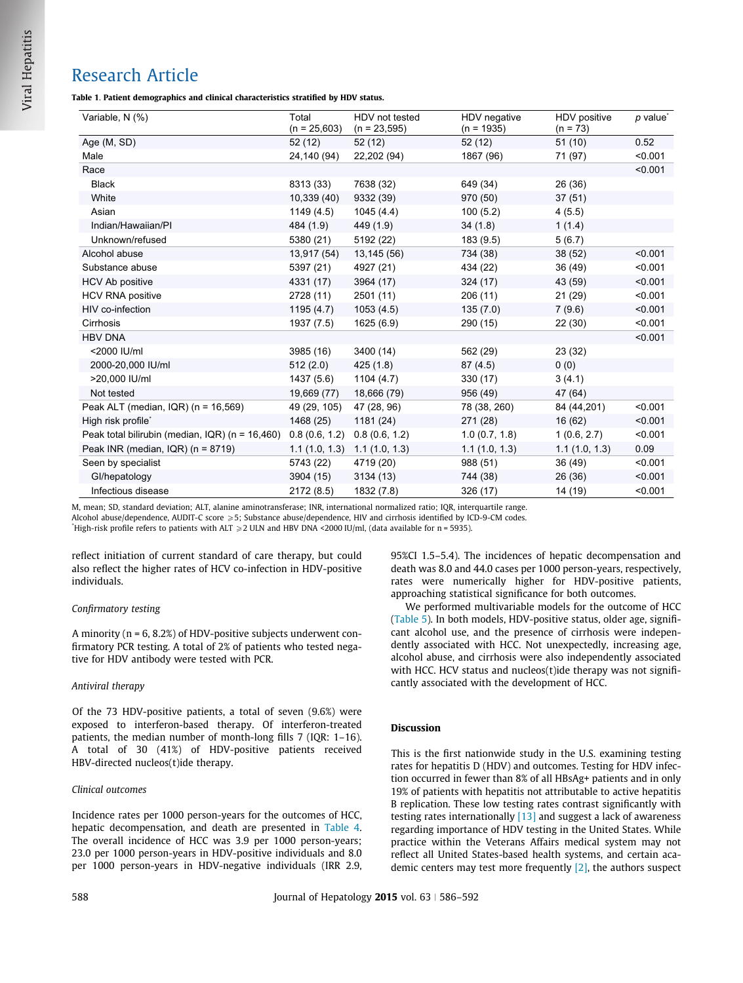<span id="page-2-0"></span>Table 1. Patient demographics and clinical characteristics stratified by HDV status.

| Variable, N (%)                                 | Total<br>$(n = 25,603)$ | HDV not tested<br>$(n = 23,595)$ | HDV negative<br>$(n = 1935)$ | HDV positive<br>$(n = 73)$ | $p$ value <sup>*</sup> |
|-------------------------------------------------|-------------------------|----------------------------------|------------------------------|----------------------------|------------------------|
| Age (M, SD)                                     | 52(12)                  | 52 (12)                          | 52 (12)                      | 51(10)                     | 0.52                   |
| Male                                            | 24,140 (94)             | 22,202 (94)                      | 1867 (96)                    | 71 (97)                    | < 0.001                |
| Race                                            |                         |                                  |                              |                            | < 0.001                |
| <b>Black</b>                                    | 8313 (33)               | 7638 (32)                        | 649 (34)                     | 26 (36)                    |                        |
| White                                           | 10,339(40)              | 9332 (39)                        | 970 (50)                     | 37(51)                     |                        |
| Asian                                           | 1149(4.5)               | 1045(4.4)                        | 100(5.2)                     | 4(5.5)                     |                        |
| Indian/Hawaiian/PI                              | 484 (1.9)               | 449 (1.9)                        | 34(1.8)                      | 1(1.4)                     |                        |
| Unknown/refused                                 | 5380 (21)               | 5192 (22)                        | 183 (9.5)                    | 5(6.7)                     |                        |
| Alcohol abuse                                   | 13,917 (54)             | 13,145 (56)                      | 734 (38)                     | 38 (52)                    | < 0.001                |
| Substance abuse                                 | 5397 (21)               | 4927 (21)                        | 434 (22)                     | 36 (49)                    | < 0.001                |
| <b>HCV Ab positive</b>                          | 4331 (17)               | 3964 (17)                        | 324 (17)                     | 43 (59)                    | < 0.001                |
| <b>HCV RNA positive</b>                         | 2728 (11)               | 2501 (11)                        | 206 (11)                     | 21 (29)                    | < 0.001                |
| HIV co-infection                                | 1195(4.7)               | 1053(4.5)                        | 135(7.0)                     | 7(9.6)                     | < 0.001                |
| Cirrhosis                                       | 1937 (7.5)              | 1625 (6.9)                       | 290 (15)                     | 22(30)                     | < 0.001                |
| <b>HBV DNA</b>                                  |                         |                                  |                              |                            | < 0.001                |
| <2000 IU/ml                                     | 3985 (16)               | 3400 (14)                        | 562 (29)                     | 23 (32)                    |                        |
| 2000-20,000 IU/ml                               | 512(2.0)                | 425(1.8)                         | 87(4.5)                      | 0(0)                       |                        |
| >20,000 IU/ml                                   | 1437 (5.6)              | 1104(4.7)                        | 330 (17)                     | 3(4.1)                     |                        |
| Not tested                                      | 19,669 (77)             | 18,666 (79)                      | 956 (49)                     | 47 (64)                    |                        |
| Peak ALT (median, IQR) (n = 16,569)             | 49 (29, 105)            | 47 (28, 96)                      | 78 (38, 260)                 | 84 (44,201)                | < 0.001                |
| High risk profile <sup>*</sup>                  | 1468 (25)               | 1181 (24)                        | 271 (28)                     | 16(62)                     | < 0.001                |
| Peak total bilirubin (median, IQR) (n = 16,460) | 0.8(0.6, 1.2)           | 0.8(0.6, 1.2)                    | 1.0(0.7, 1.8)                | 1(0.6, 2.7)                | < 0.001                |
| Peak INR (median, IQR) (n = 8719)               | 1.1(1.0, 1.3)           | 1.1(1.0, 1.3)                    | 1.1(1.0, 1.3)                | 1.1(1.0, 1.3)              | 0.09                   |
| Seen by specialist                              | 5743 (22)               | 4719 (20)                        | 988 (51)                     | 36 (49)                    | < 0.001                |
| Gl/hepatology                                   | 3904 (15)               | 3134 (13)                        | 744 (38)                     | 26 (36)                    | < 0.001                |
| Infectious disease                              | 2172 (8.5)              | 1832 (7.8)                       | 326 (17)                     | 14 (19)                    | < 0.001                |

M, mean; SD, standard deviation; ALT, alanine aminotransferase; INR, international normalized ratio; IQR, interquartile range.

Alcohol abuse/dependence, AUDIT-C score ≥5; Substance abuse/dependence, HIV and cirrhosis identified by ICD-9-CM codes.

\*High-risk profile refers to patients with ALT  $\geq$  2 ULN and HBV DNA <2000 IU/ml, (data available for n = 5935).

reflect initiation of current standard of care therapy, but could also reflect the higher rates of HCV co-infection in HDV-positive individuals.

## Confirmatory testing

A minority (n = 6, 8.2%) of HDV-positive subjects underwent confirmatory PCR testing. A total of 2% of patients who tested negative for HDV antibody were tested with PCR.

## Antiviral therapy

Of the 73 HDV-positive patients, a total of seven (9.6%) were exposed to interferon-based therapy. Of interferon-treated patients, the median number of month-long fills 7 (IQR: 1–16). A total of 30 (41%) of HDV-positive patients received HBV-directed nucleos(t)ide therapy.

## Clinical outcomes

Incidence rates per 1000 person-years for the outcomes of HCC, hepatic decompensation, and death are presented in [Table 4](#page-4-0). The overall incidence of HCC was 3.9 per 1000 person-years; 23.0 per 1000 person-years in HDV-positive individuals and 8.0 per 1000 person-years in HDV-negative individuals (IRR 2.9, 95%CI 1.5–5.4). The incidences of hepatic decompensation and death was 8.0 and 44.0 cases per 1000 person-years, respectively, rates were numerically higher for HDV-positive patients, approaching statistical significance for both outcomes.

We performed multivariable models for the outcome of HCC [\(Table 5](#page-4-0)). In both models, HDV-positive status, older age, significant alcohol use, and the presence of cirrhosis were independently associated with HCC. Not unexpectedly, increasing age, alcohol abuse, and cirrhosis were also independently associated with HCC. HCV status and nucleos(t) ide therapy was not significantly associated with the development of HCC.

## Discussion

This is the first nationwide study in the U.S. examining testing rates for hepatitis D (HDV) and outcomes. Testing for HDV infection occurred in fewer than 8% of all HBsAg+ patients and in only 19% of patients with hepatitis not attributable to active hepatitis B replication. These low testing rates contrast significantly with testing rates internationally  $[13]$  and suggest a lack of awareness regarding importance of HDV testing in the United States. While practice within the Veterans Affairs medical system may not reflect all United States-based health systems, and certain academic centers may test more frequently [\[2\]](#page-5-0), the authors suspect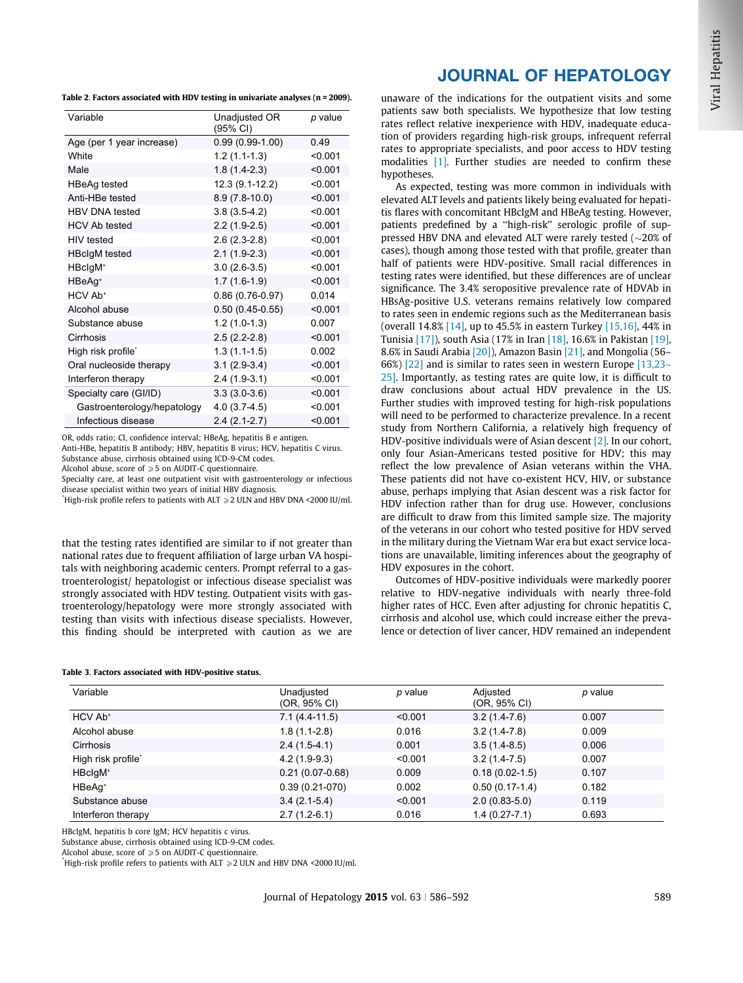<span id="page-3-0"></span>Table 2. Factors associated with HDV testing in univariate analyses (n = 2009).

| Variable                    | Unadjusted OR<br>(95% CI) | p value |
|-----------------------------|---------------------------|---------|
| Age (per 1 year increase)   | $0.99(0.99-1.00)$         | 0.49    |
| White                       | $1.2(1.1-1.3)$            | < 0.001 |
| Male                        | $1.8(1.4-2.3)$            | < 0.001 |
| <b>HBeAg tested</b>         | 12.3 (9.1-12.2)           | < 0.001 |
| Anti-HBe tested             | $8.9(7.8-10.0)$           | < 0.001 |
| <b>HBV DNA tested</b>       | $3.8(3.5-4.2)$            | < 0.001 |
| <b>HCV Ab tested</b>        | $2.2(1.9-2.5)$            | < 0.001 |
| <b>HIV</b> tested           | $2.6(2.3-2.8)$            | < 0.001 |
| <b>HBclgM</b> tested        | $2.1(1.9-2.3)$            | < 0.001 |
| HBclgM <sup>+</sup>         | $3.0(2.6-3.5)$            | < 0.001 |
| HBeAg <sup>+</sup>          | $1.7(1.6-1.9)$            | < 0.001 |
| HCV Ab <sup>+</sup>         | $0.86(0.76-0.97)$         | 0.014   |
| Alcohol abuse               | $0.50(0.45-0.55)$         | < 0.001 |
| Substance abuse             | $1.2(1.0-1.3)$            | 0.007   |
| Cirrhosis                   | $2.5(2.2-2.8)$            | < 0.001 |
| High risk profile*          | $1.3(1.1-1.5)$            | 0.002   |
| Oral nucleoside therapy     | $3.1(2.9-3.4)$            | < 0.001 |
| Interferon therapy          | $2.4(1.9-3.1)$            | < 0.001 |
| Specialty care (GI/ID)      | $3.3(3.0-3.6)$            | < 0.001 |
| Gastroenterology/hepatology | $4.0(3.7-4.5)$            | < 0.001 |
| Infectious disease          | $2.4(2.1-2.7)$            | < 0.001 |

OR, odds ratio; CI, confidence interval; HBeAg, hepatitis B e antigen. Anti-HBe, hepatitis B antibody; HBV, hepatitis B virus; HCV, hepatitis C virus.

Substance abuse, cirrhosis obtained using ICD-9-CM codes.

Alcohol abuse, score of  $\geq 5$  on AUDIT-C questionnaire.

Specialty care, at least one outpatient visit with gastroenterology or infectious disease specialist within two years of initial HBV diagnosis.

 $^*$ High-risk profile refers to patients with ALT  $\geqslant$  2 ULN and HBV DNA <2000 IU/ml.

that the testing rates identified are similar to if not greater than national rates due to frequent affiliation of large urban VA hospitals with neighboring academic centers. Prompt referral to a gastroenterologist/ hepatologist or infectious disease specialist was strongly associated with HDV testing. Outpatient visits with gastroenterology/hepatology were more strongly associated with testing than visits with infectious disease specialists. However, this finding should be interpreted with caution as we are

#### Table 3. Factors associated with HDV-positive status.

# JOURNAL OF HEPATOLOGY

unaware of the indications for the outpatient visits and some patients saw both specialists. We hypothesize that low testing rates reflect relative inexperience with HDV, inadequate education of providers regarding high-risk groups, infrequent referral rates to appropriate specialists, and poor access to HDV testing modalities [\[1\]](#page-5-0). Further studies are needed to confirm these hypotheses.

As expected, testing was more common in individuals with elevated ALT levels and patients likely being evaluated for hepatitis flares with concomitant HBcIgM and HBeAg testing. However, patients predefined by a ''high-risk'' serologic profile of suppressed HBV DNA and elevated ALT were rarely tested  $(\sim20\%$  of cases), though among those tested with that profile, greater than half of patients were HDV-positive. Small racial differences in testing rates were identified, but these differences are of unclear significance. The 3.4% seropositive prevalence rate of HDVAb in HBsAg-positive U.S. veterans remains relatively low compared to rates seen in endemic regions such as the Mediterranean basis (overall 14.8% [\[14\],](#page-5-0) up to 45.5% in eastern Turkey [\[15,16\]](#page-5-0), 44% in Tunisia [\[17\]\)](#page-5-0), south Asia (17% in Iran [\[18\]](#page-5-0), 16.6% in Pakistan [\[19\]](#page-6-0), 8.6% in Saudi Arabia [\[20\]\)](#page-6-0), Amazon Basin [\[21\]](#page-6-0), and Mongolia (56– 66%) [\[22\]](#page-6-0) and is similar to rates seen in western Europe [\[13,23–](#page-5-0) [25\]](#page-5-0). Importantly, as testing rates are quite low, it is difficult to draw conclusions about actual HDV prevalence in the US. Further studies with improved testing for high-risk populations will need to be performed to characterize prevalence. In a recent study from Northern California, a relatively high frequency of HDV-positive individuals were of Asian descent [\[2\].](#page-5-0) In our cohort, only four Asian-Americans tested positive for HDV; this may reflect the low prevalence of Asian veterans within the VHA. These patients did not have co-existent HCV, HIV, or substance abuse, perhaps implying that Asian descent was a risk factor for HDV infection rather than for drug use. However, conclusions are difficult to draw from this limited sample size. The majority of the veterans in our cohort who tested positive for HDV served in the military during the Vietnam War era but exact service locations are unavailable, limiting inferences about the geography of HDV exposures in the cohort.

Outcomes of HDV-positive individuals were markedly poorer relative to HDV-negative individuals with nearly three-fold higher rates of HCC. Even after adjusting for chronic hepatitis C, cirrhosis and alcohol use, which could increase either the prevalence or detection of liver cancer, HDV remained an independent

| Variable            | Unadjusted<br>(OR, 95% CI) | p value | Adjusted<br>(OR, 95% CI) | p value |
|---------------------|----------------------------|---------|--------------------------|---------|
| HCV Ab <sup>+</sup> | $7.1(4.4-11.5)$            | < 0.001 | $3.2(1.4-7.6)$           | 0.007   |
| Alcohol abuse       | $1.8(1.1-2.8)$             | 0.016   | $3.2(1.4-7.8)$           | 0.009   |
| Cirrhosis           | $2.4(1.5-4.1)$             | 0.001   | $3.5(1.4-8.5)$           | 0.006   |
| High risk profile*  | $4.2(1.9-9.3)$             | < 0.001 | $3.2(1.4-7.5)$           | 0.007   |
| HBclgM <sup>+</sup> | $0.21(0.07-0.68)$          | 0.009   | $0.18(0.02 - 1.5)$       | 0.107   |
| HBeAq <sup>+</sup>  | $0.39(0.21-070)$           | 0.002   | $0.50(0.17-1.4)$         | 0.182   |
| Substance abuse     | $3.4(2.1-5.4)$             | < 0.001 | $2.0(0.83 - 5.0)$        | 0.119   |
| Interferon therapy  | $2.7(1.2-6.1)$             | 0.016   | $1.4(0.27 - 7.1)$        | 0.693   |

HBcIgM, hepatitis b core IgM; HCV hepatitis c virus.

Substance abuse, cirrhosis obtained using ICD-9-CM codes.

Alcohol abuse, score of  $\geq 5$  on AUDIT-C questionnaire.

 $*$ High-risk profile refers to patients with ALT  $\geqslant$  2 ULN and HBV DNA <2000 IU/ml.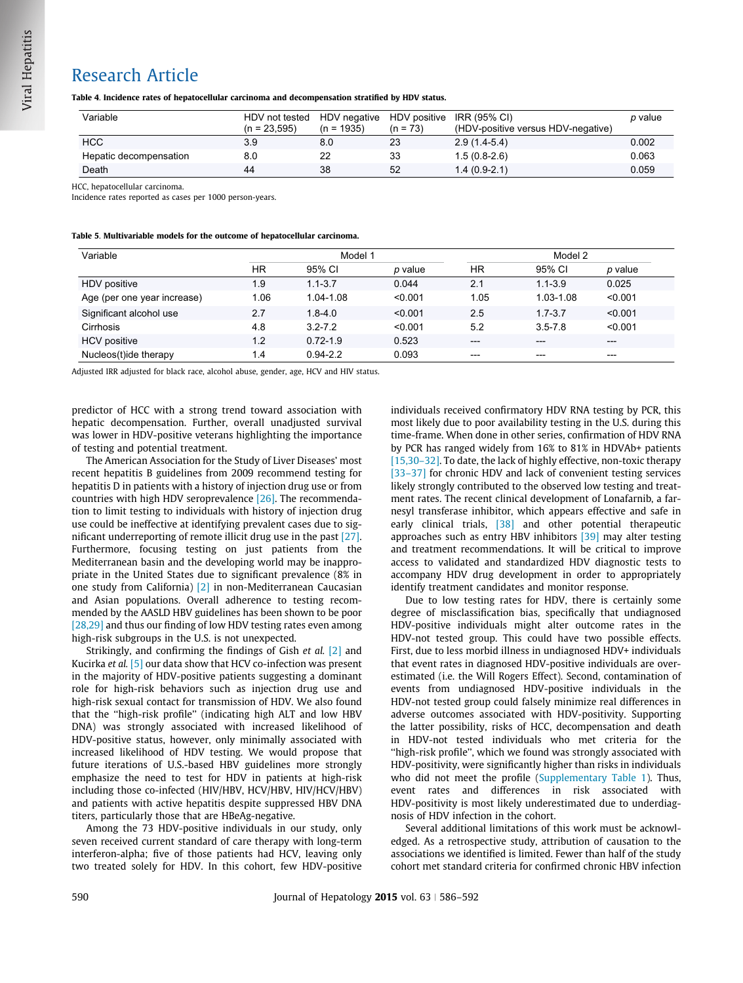## <span id="page-4-0"></span>Table 4. Incidence rates of hepatocellular carcinoma and decompensation stratified by HDV status.

| Variable               | HDV not tested | HDV negative HDV positive |            | IRR (95% CI)                       | p value |
|------------------------|----------------|---------------------------|------------|------------------------------------|---------|
|                        | $(n = 23.595)$ | $(n = 1935)$              | $(n = 73)$ | (HDV-positive versus HDV-negative) |         |
| <b>HCC</b>             | 3.9            | 8.0                       | 23         | $2.9(1.4-5.4)$                     | 0.002   |
| Hepatic decompensation | 8.0            |                           | 33         | $1.5(0.8-2.6)$                     | 0.063   |
| Death                  | 44             | 38                        | 52         | $1.4(0.9-2.1)$                     | 0.059   |

HCC, hepatocellular carcinoma.

Incidence rates reported as cases per 1000 person-years.

| Table 5. Multivariable models for the outcome of hepatocellular carcinoma. |  |  |  |
|----------------------------------------------------------------------------|--|--|--|
|----------------------------------------------------------------------------|--|--|--|

| Variable                    |           | Model 1      |         |       | Model 2     |         |  |
|-----------------------------|-----------|--------------|---------|-------|-------------|---------|--|
|                             | <b>HR</b> | 95% CI       | p value | HR    | 95% CI      | p value |  |
| HDV positive                | 1.9       | $1.1 - 3.7$  | 0.044   | 2.1   | $1.1 - 3.9$ | 0.025   |  |
| Age (per one year increase) | 1.06      | 1.04-1.08    | < 0.001 | 1.05  | 1.03-1.08   | < 0.001 |  |
| Significant alcohol use     | 2.7       | $1.8 - 4.0$  | < 0.001 | 2.5   | $1.7 - 3.7$ | < 0.001 |  |
| Cirrhosis                   | 4.8       | $3.2 - 7.2$  | < 0.001 | 5.2   | $3.5 - 7.8$ | < 0.001 |  |
| <b>HCV</b> positive         | 1.2       | $0.72 - 1.9$ | 0.523   | $---$ | $---$       | $---$   |  |
| Nucleos(t)ide therapy       | 1.4       | $0.94 - 2.2$ | 0.093   | $---$ | $---$       | $---$   |  |

Adjusted IRR adjusted for black race, alcohol abuse, gender, age, HCV and HIV status.

predictor of HCC with a strong trend toward association with hepatic decompensation. Further, overall unadjusted survival was lower in HDV-positive veterans highlighting the importance of testing and potential treatment.

The American Association for the Study of Liver Diseases' most recent hepatitis B guidelines from 2009 recommend testing for hepatitis D in patients with a history of injection drug use or from countries with high HDV seroprevalence [\[26\]](#page-6-0). The recommendation to limit testing to individuals with history of injection drug use could be ineffective at identifying prevalent cases due to significant underreporting of remote illicit drug use in the past [\[27\]](#page-6-0). Furthermore, focusing testing on just patients from the Mediterranean basin and the developing world may be inappropriate in the United States due to significant prevalence (8% in one study from California) [\[2\]](#page-5-0) in non-Mediterranean Caucasian and Asian populations. Overall adherence to testing recommended by the AASLD HBV guidelines has been shown to be poor [\[28,29\]](#page-6-0) and thus our finding of low HDV testing rates even among high-risk subgroups in the U.S. is not unexpected.

Strikingly, and confirming the findings of Gish et al. [\[2\]](#page-5-0) and Kucirka et al. [\[5\]](#page-5-0) our data show that HCV co-infection was present in the majority of HDV-positive patients suggesting a dominant role for high-risk behaviors such as injection drug use and high-risk sexual contact for transmission of HDV. We also found that the ''high-risk profile'' (indicating high ALT and low HBV DNA) was strongly associated with increased likelihood of HDV-positive status, however, only minimally associated with increased likelihood of HDV testing. We would propose that future iterations of U.S.-based HBV guidelines more strongly emphasize the need to test for HDV in patients at high-risk including those co-infected (HIV/HBV, HCV/HBV, HIV/HCV/HBV) and patients with active hepatitis despite suppressed HBV DNA titers, particularly those that are HBeAg-negative.

Among the 73 HDV-positive individuals in our study, only seven received current standard of care therapy with long-term interferon-alpha; five of those patients had HCV, leaving only two treated solely for HDV. In this cohort, few HDV-positive individuals received confirmatory HDV RNA testing by PCR, this most likely due to poor availability testing in the U.S. during this time-frame. When done in other series, confirmation of HDV RNA by PCR has ranged widely from 16% to 81% in HDVAb+ patients [\[15,30–32\]](#page-5-0). To date, the lack of highly effective, non-toxic therapy [33-37] for chronic HDV and lack of convenient testing services likely strongly contributed to the observed low testing and treatment rates. The recent clinical development of Lonafarnib, a farnesyl transferase inhibitor, which appears effective and safe in early clinical trials, [\[38\]](#page-6-0) and other potential therapeutic approaches such as entry HBV inhibitors [\[39\]](#page-6-0) may alter testing and treatment recommendations. It will be critical to improve access to validated and standardized HDV diagnostic tests to accompany HDV drug development in order to appropriately identify treatment candidates and monitor response.

Due to low testing rates for HDV, there is certainly some degree of misclassification bias, specifically that undiagnosed HDV-positive individuals might alter outcome rates in the HDV-not tested group. This could have two possible effects. First, due to less morbid illness in undiagnosed HDV+ individuals that event rates in diagnosed HDV-positive individuals are overestimated (i.e. the Will Rogers Effect). Second, contamination of events from undiagnosed HDV-positive individuals in the HDV-not tested group could falsely minimize real differences in adverse outcomes associated with HDV-positivity. Supporting the latter possibility, risks of HCC, decompensation and death in HDV-not tested individuals who met criteria for the ''high-risk profile'', which we found was strongly associated with HDV-positivity, were significantly higher than risks in individuals who did not meet the profile [\(Supplementary Table 1\)](#page-5-0). Thus, event rates and differences in risk associated with HDV-positivity is most likely underestimated due to underdiagnosis of HDV infection in the cohort.

Several additional limitations of this work must be acknowledged. As a retrospective study, attribution of causation to the associations we identified is limited. Fewer than half of the study cohort met standard criteria for confirmed chronic HBV infection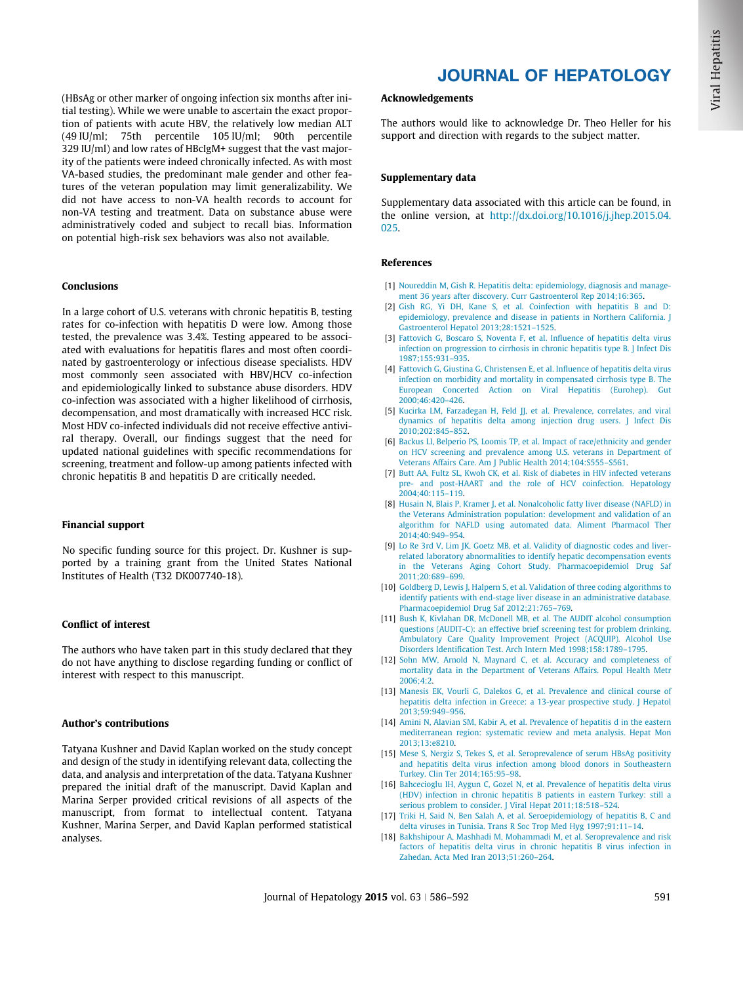<span id="page-5-0"></span>(HBsAg or other marker of ongoing infection six months after initial testing). While we were unable to ascertain the exact proportion of patients with acute HBV, the relatively low median ALT (49 IU/ml; 75th percentile 105 IU/ml; 90th percentile 329 IU/ml) and low rates of HBcIgM+ suggest that the vast majority of the patients were indeed chronically infected. As with most VA-based studies, the predominant male gender and other features of the veteran population may limit generalizability. We did not have access to non-VA health records to account for non-VA testing and treatment. Data on substance abuse were administratively coded and subject to recall bias. Information on potential high-risk sex behaviors was also not available.

## Conclusions

In a large cohort of U.S. veterans with chronic hepatitis B, testing rates for co-infection with hepatitis D were low. Among those tested, the prevalence was 3.4%. Testing appeared to be associated with evaluations for hepatitis flares and most often coordinated by gastroenterology or infectious disease specialists. HDV most commonly seen associated with HBV/HCV co-infection and epidemiologically linked to substance abuse disorders. HDV co-infection was associated with a higher likelihood of cirrhosis, decompensation, and most dramatically with increased HCC risk. Most HDV co-infected individuals did not receive effective antiviral therapy. Overall, our findings suggest that the need for updated national guidelines with specific recommendations for screening, treatment and follow-up among patients infected with chronic hepatitis B and hepatitis D are critically needed.

### Financial support

No specific funding source for this project. Dr. Kushner is supported by a training grant from the United States National Institutes of Health (T32 DK007740-18).

#### Conflict of interest

The authors who have taken part in this study declared that they do not have anything to disclose regarding funding or conflict of interest with respect to this manuscript.

## Author's contributions

Tatyana Kushner and David Kaplan worked on the study concept and design of the study in identifying relevant data, collecting the data, and analysis and interpretation of the data. Tatyana Kushner prepared the initial draft of the manuscript. David Kaplan and Marina Serper provided critical revisions of all aspects of the manuscript, from format to intellectual content. Tatyana Kushner, Marina Serper, and David Kaplan performed statistical analyses.

## JOURNAL OF HEPATOLOGY

## Acknowledgements

The authors would like to acknowledge Dr. Theo Heller for his support and direction with regards to the subject matter.

### Supplementary data

Supplementary data associated with this article can be found, in the online version, at [http://dx.doi.org/10.1016/j.jhep.2015.04.](http://dx.doi.org/10.1016/j.jhep.2015.04.025) [025.](http://dx.doi.org/10.1016/j.jhep.2015.04.025)

### References

- [1] [Noureddin M, Gish R. Hepatitis delta: epidemiology, diagnosis and manage](http://refhub.elsevier.com/S0168-8278(15)00319-0/h0005)[ment 36 years after discovery. Curr Gastroenterol Rep 2014;16:365.](http://refhub.elsevier.com/S0168-8278(15)00319-0/h0005)
- [2] [Gish RG, Yi DH, Kane S, et al. Coinfection with hepatitis B and D:](http://refhub.elsevier.com/S0168-8278(15)00319-0/h0010) [epidemiology, prevalence and disease in patients in Northern California. J](http://refhub.elsevier.com/S0168-8278(15)00319-0/h0010) [Gastroenterol Hepatol 2013;28:1521–1525.](http://refhub.elsevier.com/S0168-8278(15)00319-0/h0010)
- [3] [Fattovich G, Boscaro S, Noventa F, et al. Influence of hepatitis delta virus](http://refhub.elsevier.com/S0168-8278(15)00319-0/h0015) [infection on progression to cirrhosis in chronic hepatitis type B. J Infect Dis](http://refhub.elsevier.com/S0168-8278(15)00319-0/h0015) [1987;155:931–935](http://refhub.elsevier.com/S0168-8278(15)00319-0/h0015).
- [4] [Fattovich G, Giustina G, Christensen E, et al. Influence of hepatitis delta virus](http://refhub.elsevier.com/S0168-8278(15)00319-0/h0020) [infection on morbidity and mortality in compensated cirrhosis type B. The](http://refhub.elsevier.com/S0168-8278(15)00319-0/h0020) [European Concerted Action on Viral Hepatitis \(Eurohep\). Gut](http://refhub.elsevier.com/S0168-8278(15)00319-0/h0020) [2000;46:420–426](http://refhub.elsevier.com/S0168-8278(15)00319-0/h0020).
- [5] [Kucirka LM, Farzadegan H, Feld JJ, et al. Prevalence, correlates, and viral](http://refhub.elsevier.com/S0168-8278(15)00319-0/h0025) [dynamics of hepatitis delta among injection drug users. J Infect Dis](http://refhub.elsevier.com/S0168-8278(15)00319-0/h0025) [2010;202:845–852](http://refhub.elsevier.com/S0168-8278(15)00319-0/h0025).
- [6] [Backus LI, Belperio PS, Loomis TP, et al. Impact of race/ethnicity and gender](http://refhub.elsevier.com/S0168-8278(15)00319-0/h0030) [on HCV screening and prevalence among U.S. veterans in Department of](http://refhub.elsevier.com/S0168-8278(15)00319-0/h0030) [Veterans Affairs Care. Am J Public Health 2014;104:S555–S561](http://refhub.elsevier.com/S0168-8278(15)00319-0/h0030).
- [7] [Butt AA, Fultz SL, Kwoh CK, et al. Risk of diabetes in HIV infected veterans](http://refhub.elsevier.com/S0168-8278(15)00319-0/h0035) [pre- and post-HAART and the role of HCV coinfection. Hepatology](http://refhub.elsevier.com/S0168-8278(15)00319-0/h0035) [2004;40:115–119](http://refhub.elsevier.com/S0168-8278(15)00319-0/h0035).
- [8] [Husain N, Blais P, Kramer J, et al. Nonalcoholic fatty liver disease \(NAFLD\) in](http://refhub.elsevier.com/S0168-8278(15)00319-0/h0040) [the Veterans Administration population: development and validation of an](http://refhub.elsevier.com/S0168-8278(15)00319-0/h0040) [algorithm for NAFLD using automated data. Aliment Pharmacol Ther](http://refhub.elsevier.com/S0168-8278(15)00319-0/h0040) [2014;40:949–954.](http://refhub.elsevier.com/S0168-8278(15)00319-0/h0040)
- [9] [Lo Re 3rd V, Lim JK, Goetz MB, et al. Validity of diagnostic codes and liver](http://refhub.elsevier.com/S0168-8278(15)00319-0/h0045)[related laboratory abnormalities to identify hepatic decompensation events](http://refhub.elsevier.com/S0168-8278(15)00319-0/h0045) [in the Veterans Aging Cohort Study. Pharmacoepidemiol Drug Saf](http://refhub.elsevier.com/S0168-8278(15)00319-0/h0045) [2011;20:689–699.](http://refhub.elsevier.com/S0168-8278(15)00319-0/h0045)
- [10] [Goldberg D, Lewis J, Halpern S, et al. Validation of three coding algorithms to](http://refhub.elsevier.com/S0168-8278(15)00319-0/h0050) [identify patients with end-stage liver disease in an administrative database.](http://refhub.elsevier.com/S0168-8278(15)00319-0/h0050) [Pharmacoepidemiol Drug Saf 2012;21:765–769](http://refhub.elsevier.com/S0168-8278(15)00319-0/h0050).
- [11] [Bush K, Kivlahan DR, McDonell MB, et al. The AUDIT alcohol consumption](http://refhub.elsevier.com/S0168-8278(15)00319-0/h0055) [questions \(AUDIT-C\): an effective brief screening test for problem drinking.](http://refhub.elsevier.com/S0168-8278(15)00319-0/h0055) [Ambulatory Care Quality Improvement Project \(ACQUIP\). Alcohol Use](http://refhub.elsevier.com/S0168-8278(15)00319-0/h0055) [Disorders Identification Test. Arch Intern Med 1998;158:1789–1795](http://refhub.elsevier.com/S0168-8278(15)00319-0/h0055).
- [12] [Sohn MW, Arnold N, Maynard C, et al. Accuracy and completeness of](http://refhub.elsevier.com/S0168-8278(15)00319-0/h0060) [mortality data in the Department of Veterans Affairs. Popul Health Metr](http://refhub.elsevier.com/S0168-8278(15)00319-0/h0060) [2006;4:2](http://refhub.elsevier.com/S0168-8278(15)00319-0/h0060).
- [13] [Manesis EK, Vourli G, Dalekos G, et al. Prevalence and clinical course of](http://refhub.elsevier.com/S0168-8278(15)00319-0/h0065) [hepatitis delta infection in Greece: a 13-year prospective study. J Hepatol](http://refhub.elsevier.com/S0168-8278(15)00319-0/h0065) [2013;59:949–956](http://refhub.elsevier.com/S0168-8278(15)00319-0/h0065).
- [14] [Amini N, Alavian SM, Kabir A, et al. Prevalence of hepatitis d in the eastern](http://refhub.elsevier.com/S0168-8278(15)00319-0/h0070) [mediterranean region: systematic review and meta analysis. Hepat Mon](http://refhub.elsevier.com/S0168-8278(15)00319-0/h0070) [2013;13:e8210](http://refhub.elsevier.com/S0168-8278(15)00319-0/h0070).
- [15] [Mese S, Nergiz S, Tekes S, et al. Seroprevalence of serum HBsAg positivity](http://refhub.elsevier.com/S0168-8278(15)00319-0/h0075) [and hepatitis delta virus infection among blood donors in Southeastern](http://refhub.elsevier.com/S0168-8278(15)00319-0/h0075) [Turkey. Clin Ter 2014;165:95–98.](http://refhub.elsevier.com/S0168-8278(15)00319-0/h0075)
- [16] [Bahcecioglu IH, Aygun C, Gozel N, et al. Prevalence of hepatitis delta virus](http://refhub.elsevier.com/S0168-8278(15)00319-0/h0080) [\(HDV\) infection in chronic hepatitis B patients in eastern Turkey: still a](http://refhub.elsevier.com/S0168-8278(15)00319-0/h0080) [serious problem to consider. J Viral Hepat 2011;18:518–524.](http://refhub.elsevier.com/S0168-8278(15)00319-0/h0080)
- [17] [Triki H, Said N, Ben Salah A, et al. Seroepidemiology of hepatitis B, C and](http://refhub.elsevier.com/S0168-8278(15)00319-0/h0085) [delta viruses in Tunisia. Trans R Soc Trop Med Hyg 1997;91:11–14.](http://refhub.elsevier.com/S0168-8278(15)00319-0/h0085)
- [18] [Bakhshipour A, Mashhadi M, Mohammadi M, et al. Seroprevalence and risk](http://refhub.elsevier.com/S0168-8278(15)00319-0/h0090) [factors of hepatitis delta virus in chronic hepatitis B virus infection in](http://refhub.elsevier.com/S0168-8278(15)00319-0/h0090) [Zahedan. Acta Med Iran 2013;51:260–264.](http://refhub.elsevier.com/S0168-8278(15)00319-0/h0090)